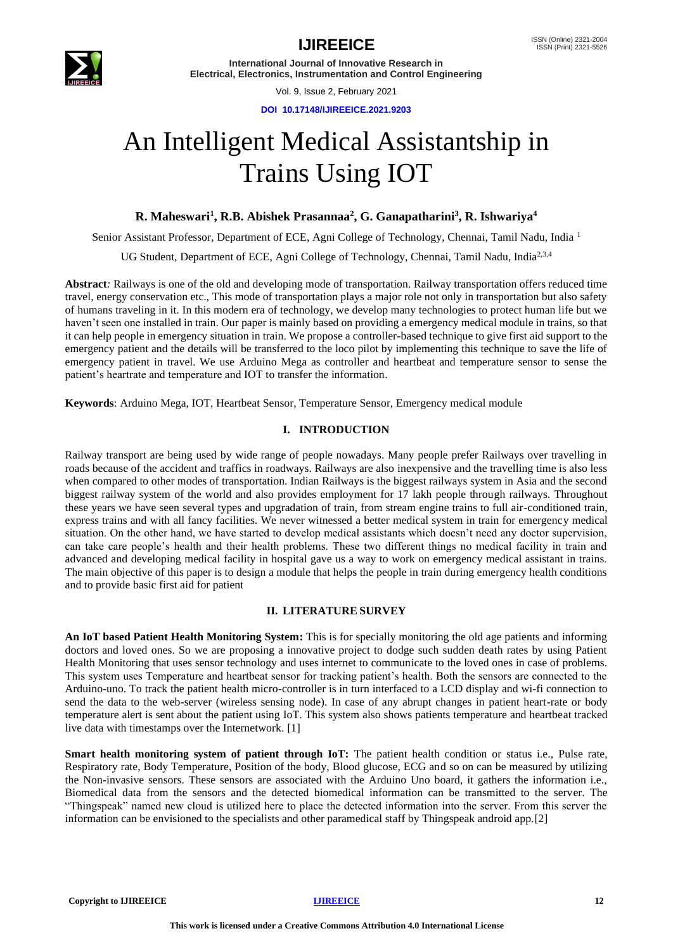

Vol. 9, Issue 2, February 2021

**DOI 10.17148/IJIREEICE.2021.9203**

# An Intelligent Medical Assistantship in Trains Using IOT

**R. Maheswari<sup>1</sup> , R.B. Abishek Prasannaa<sup>2</sup> , G. Ganapatharini<sup>3</sup> , R. Ishwariya<sup>4</sup>**

Senior Assistant Professor, Department of ECE, Agni College of Technology, Chennai, Tamil Nadu, India <sup>1</sup>

UG Student, Department of ECE, Agni College of Technology, Chennai, Tamil Nadu, India<sup>2,3,4</sup>

**Abstract***:* Railways is one of the old and developing mode of transportation. Railway transportation offers reduced time travel, energy conservation etc., This mode of transportation plays a major role not only in transportation but also safety of humans traveling in it. In this modern era of technology, we develop many technologies to protect human life but we haven't seen one installed in train. Our paper is mainly based on providing a emergency medical module in trains, so that it can help people in emergency situation in train. We propose a controller-based technique to give first aid support to the emergency patient and the details will be transferred to the loco pilot by implementing this technique to save the life of emergency patient in travel. We use Arduino Mega as controller and heartbeat and temperature sensor to sense the patient's heartrate and temperature and IOT to transfer the information.

**Keywords**: Arduino Mega, IOT, Heartbeat Sensor, Temperature Sensor, Emergency medical module

# **I. INTRODUCTION**

Railway transport are being used by wide range of people nowadays. Many people prefer Railways over travelling in roads because of the accident and traffics in roadways. Railways are also inexpensive and the travelling time is also less when compared to other modes of transportation. Indian Railways is the biggest railways system in Asia and the second biggest railway system of the world and also provides employment for 17 lakh people through railways. Throughout these years we have seen several types and upgradation of train, from stream engine trains to full air-conditioned train, express trains and with all fancy facilities. We never witnessed a better medical system in train for emergency medical situation. On the other hand, we have started to develop medical assistants which doesn't need any doctor supervision, can take care people's health and their health problems. These two different things no medical facility in train and advanced and developing medical facility in hospital gave us a way to work on emergency medical assistant in trains. The main objective of this paper is to design a module that helps the people in train during emergency health conditions and to provide basic first aid for patient

# **II. LITERATURE SURVEY**

**An IoT based Patient Health Monitoring System:** This is for specially monitoring the old age patients and informing doctors and loved ones. So we are proposing a innovative project to dodge such sudden death rates by using Patient Health Monitoring that uses sensor technology and uses internet to communicate to the loved ones in case of problems. This system uses Temperature and heartbeat sensor for tracking patient's health. Both the sensors are connected to the Arduino-uno. To track the patient health micro-controller is in turn interfaced to a LCD display and wi-fi connection to send the data to the web-server (wireless sensing node). In case of any abrupt changes in patient heart-rate or body temperature alert is sent about the patient using IoT. This system also shows patients temperature and heartbeat tracked live data with timestamps over the Internetwork. [1]

**Smart health monitoring system of patient through IoT:** The patient health condition or status i.e., Pulse rate, Respiratory rate, Body Temperature, Position of the body, Blood glucose, ECG and so on can be measured by utilizing the Non-invasive sensors. These sensors are associated with the Arduino Uno board, it gathers the information i.e., Biomedical data from the sensors and the detected biomedical information can be transmitted to the server. The "Thingspeak" named new cloud is utilized here to place the detected information into the server. From this server the information can be envisioned to the specialists and other paramedical staff by Thingspeak android app.[2]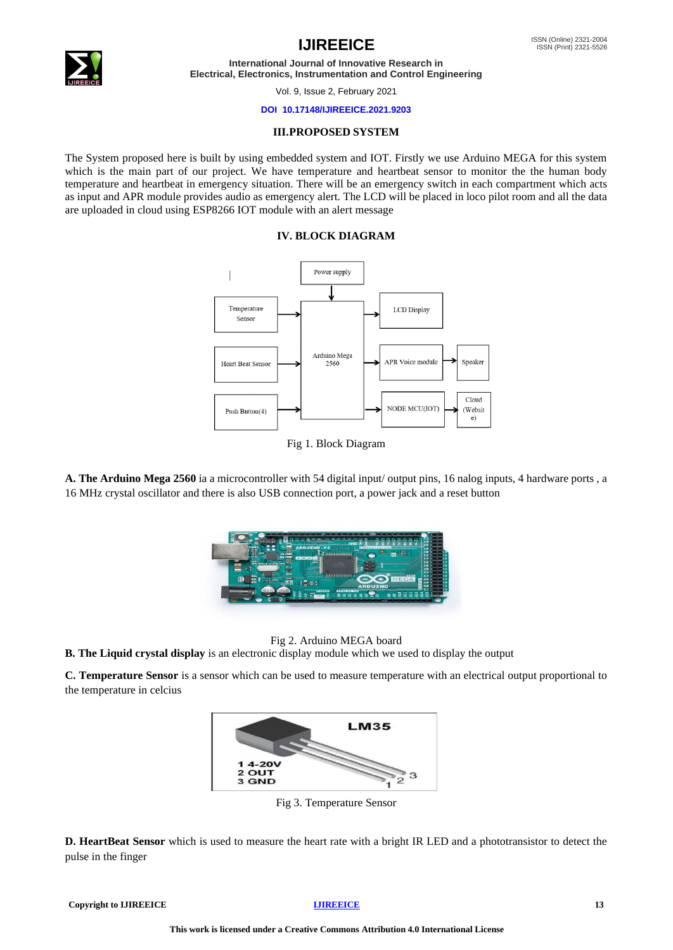

Vol. 9, Issue 2, February 2021

### **DOI 10.17148/IJIREEICE.2021.9203**

## **III.PROPOSED SYSTEM**

The System proposed here is built by using embedded system and IOT. Firstly we use Arduino MEGA for this system which is the main part of our project. We have temperature and heartbeat sensor to monitor the the human body temperature and heartbeat in emergency situation. There will be an emergency switch in each compartment which acts as input and APR module provides audio as emergency alert. The LCD will be placed in loco pilot room and all the data are uploaded in cloud using ESP8266 IOT module with an alert message

# **IV. BLOCK DIAGRAM**



# Fig 1. Block Diagram

**A. The Arduino Mega 2560** ia a microcontroller with 54 digital input/ output pins, 16 nalog inputs, 4 hardware ports , a 16 MHz crystal oscillator and there is also USB connection port, a power jack and a reset button



Fig 2. Arduino MEGA board

**B. The Liquid crystal display** is an electronic display module which we used to display the output

**C. Temperature Sensor** is a sensor which can be used to measure temperature with an electrical output proportional to the temperature in celcius



Fig 3. Temperature Sensor

**D. HeartBeat Sensor** which is used to measure the heart rate with a bright IR LED and a phototransistor to detect the pulse in the finger

**Copyright to IJIREEICE 13**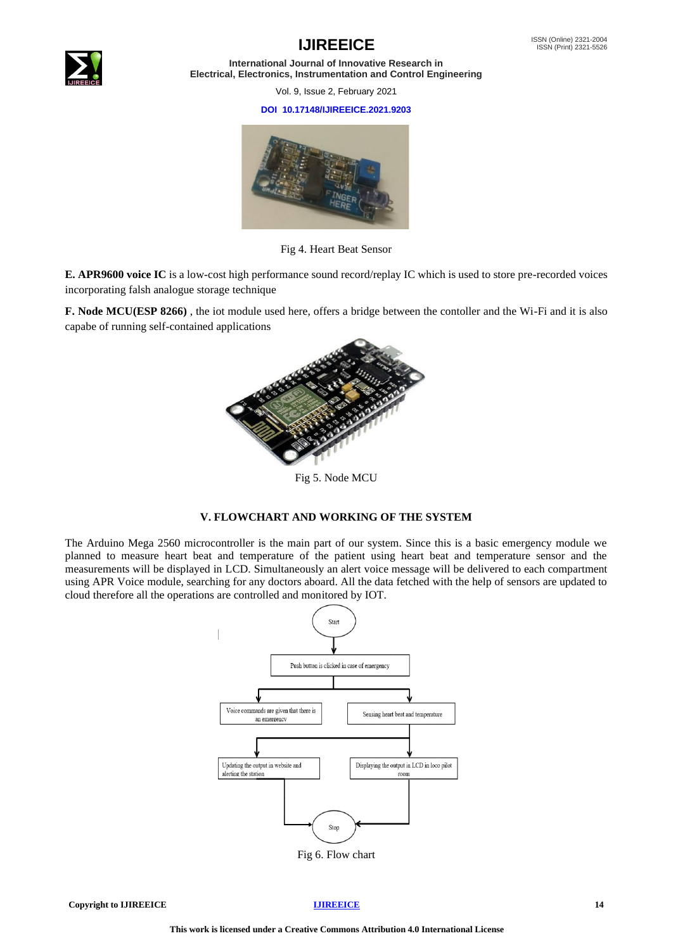

Vol. 9, Issue 2, February 2021

### **DOI 10.17148/IJIREEICE.2021.9203**



Fig 4. Heart Beat Sensor

**E. APR9600 voice IC** is a low-cost high performance sound record/replay IC which is used to store pre-recorded voices incorporating falsh analogue storage technique

**F. Node MCU(ESP 8266)** , the iot module used here, offers a bridge between the contoller and the Wi-Fi and it is also capabe of running self-contained applications



Fig 5. Node MCU

# **V. FLOWCHART AND WORKING OF THE SYSTEM**

The Arduino Mega 2560 microcontroller is the main part of our system. Since this is a basic emergency module we planned to measure heart beat and temperature of the patient using heart beat and temperature sensor and the measurements will be displayed in LCD. Simultaneously an alert voice message will be delivered to each compartment using APR Voice module, searching for any doctors aboard. All the data fetched with the help of sensors are updated to cloud therefore all the operations are controlled and monitored by IOT.